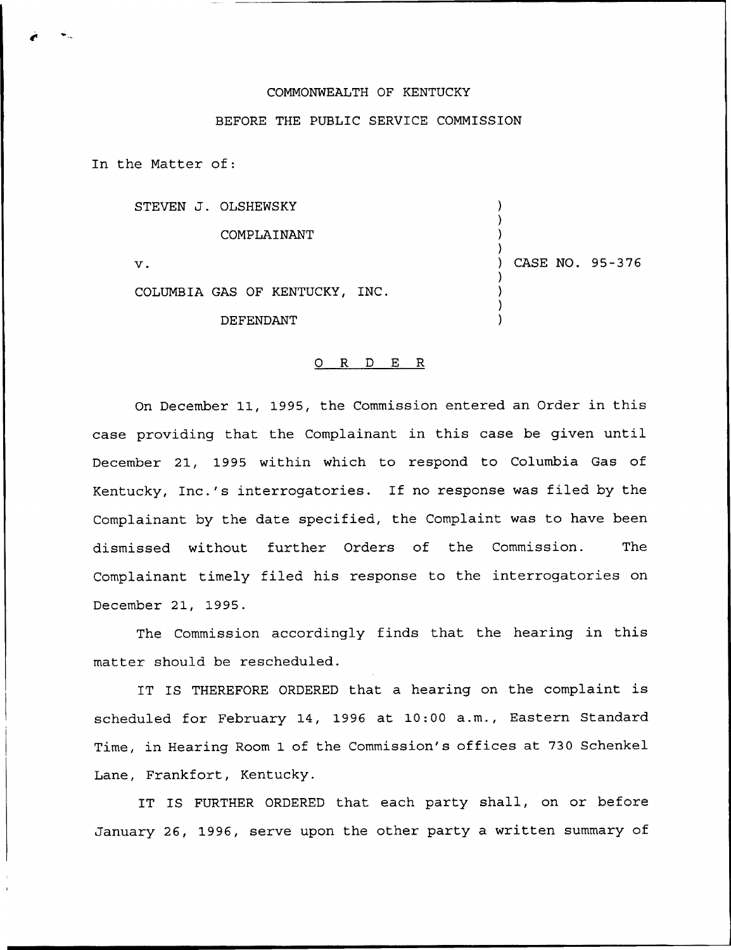## COMMONWEALTH OF KENTUCKY

## BEFORE THE PUBLIC SERVICE COMMISSION

In the Matter of:

| STEVEN J. OLSHEWSKY            |                 |  |
|--------------------------------|-----------------|--|
| COMPLAINANT                    |                 |  |
| $\mathbf v$ .                  | CASE NO. 95-376 |  |
| COLUMBIA GAS OF KENTUCKY, INC. |                 |  |
| <b>DEFENDANT</b>               |                 |  |

## 0 R <sup>D</sup> E R

On December 11, 1995, the Commission entered an Order in this case providing that the Complainant in this case be given until December 21, 1995 within which to respond to Columbia Gas of Kentucky, Inc.'s interrogatories. If no response was filed by the Complainant by the date specified, the Complaint was to have been dismissed without further Orders of the Commission. The Complainant timely filed his response to the interrogatories on December 21, 1995.

The Commission accordingly finds that the hearing in this matter should be rescheduled.

IT IS THEREFORE ORDERED that <sup>a</sup> hearing on the complaint is scheduled for February 14, 1996 at 10:00 a.m., Eastern Standard Time, in Hearing Room 1 of the Commission's offices at 730 Schenkel Lane, Frankfort, Kentucky.

IT IS FURTHER ORDERED that each party shall, on or before January 26, 1996, serve upon the other party a written summary of